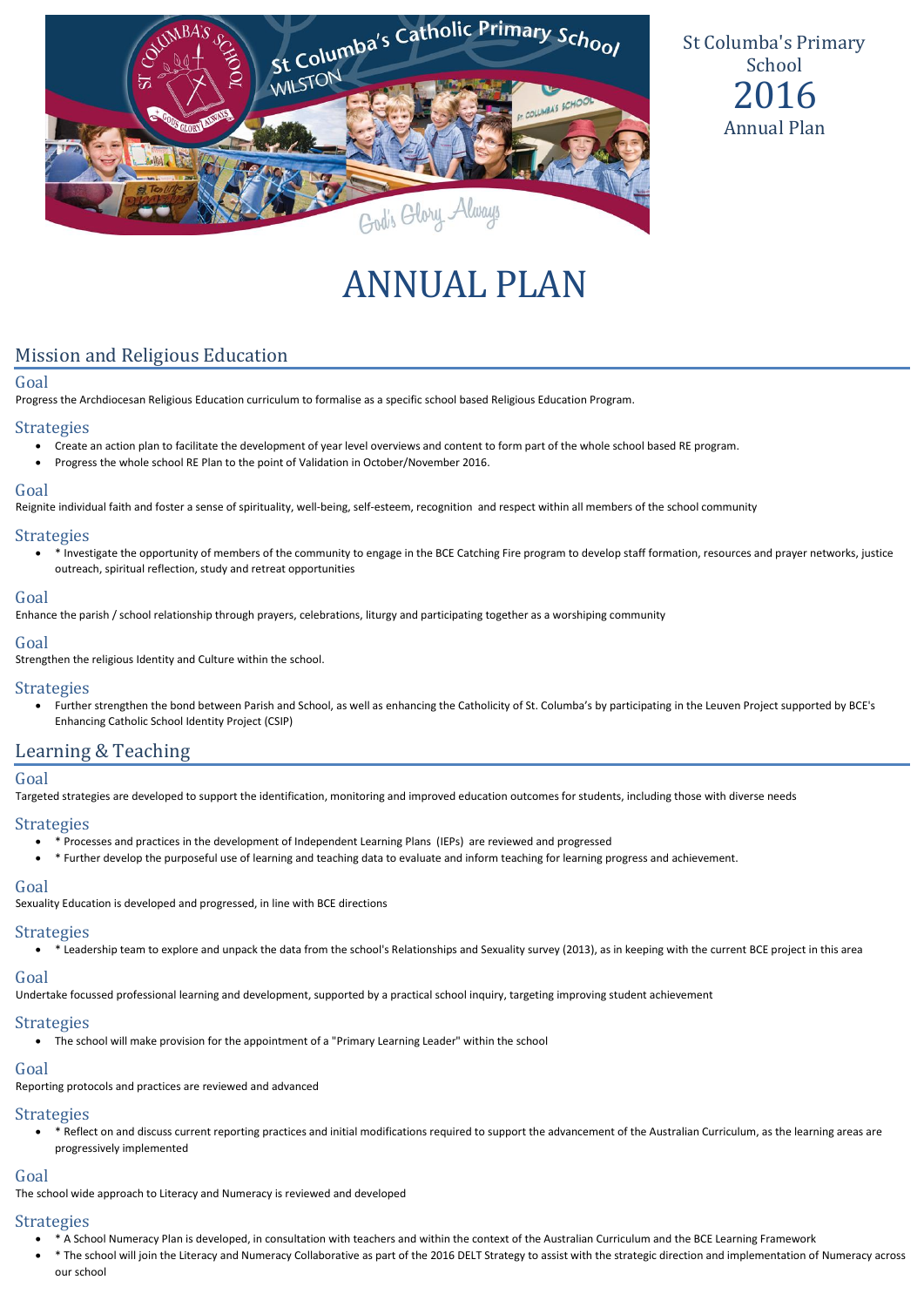

St Columba's Primary School 2016 Annual Plan

# ANNUAL PLAN

# Mission and Religious Education

#### Goal

Progress the Archdiocesan Religious Education curriculum to formalise as a specific school based Religious Education Program.

#### **Strategies**

- Create an action plan to facilitate the development of year level overviews and content to form part of the whole school based RE program.
- Progress the whole school RE Plan to the point of Validation in October/November 2016.

#### Goal

Reignite individual faith and foster a sense of spirituality, well-being, self-esteem, recognition and respect within all members of the school community

#### **Strategies**

 \* Investigate the opportunity of members of the community to engage in the BCE Catching Fire program to develop staff formation, resources and prayer networks, justice outreach, spiritual reflection, study and retreat opportunities

#### Goal

Enhance the parish / school relationship through prayers, celebrations, liturgy and participating together as a worshiping community

#### Goal

Strengthen the religious Identity and Culture within the school.

## **Strategies**

 Further strengthen the bond between Parish and School, as well as enhancing the Catholicity of St. Columba's by participating in the Leuven Project supported by BCE's Enhancing Catholic School Identity Project (CSIP)

# Learning & Teaching

#### Goal

Targeted strategies are developed to support the identification, monitoring and improved education outcomes for students, including those with diverse needs

#### **Strategies**

- \* Processes and practices in the development of Independent Learning Plans (IEPs) are reviewed and progressed
- \* Further develop the purposeful use of learning and teaching data to evaluate and inform teaching for learning progress and achievement.

#### Goal

Sexuality Education is developed and progressed, in line with BCE directions

#### **Strategies**

\* Leadership team to explore and unpack the data from the school's Relationships and Sexuality survey (2013), as in keeping with the current BCE project in this area

#### Goal

Undertake focussed professional learning and development, supported by a practical school inquiry, targeting improving student achievement

#### **Strategies**

The school will make provision for the appointment of a "Primary Learning Leader" within the school

## Goal

Reporting protocols and practices are reviewed and advanced

## **Strategies**

 \* Reflect on and discuss current reporting practices and initial modifications required to support the advancement of the Australian Curriculum, as the learning areas are progressively implemented

#### Goal

The school wide approach to Literacy and Numeracy is reviewed and developed

### Strategies

- \* A School Numeracy Plan is developed, in consultation with teachers and within the context of the Australian Curriculum and the BCE Learning Framework
- \* The school will join the Literacy and Numeracy Collaborative as part of the 2016 DELT Strategy to assist with the strategic direction and implementation of Numeracy across our school